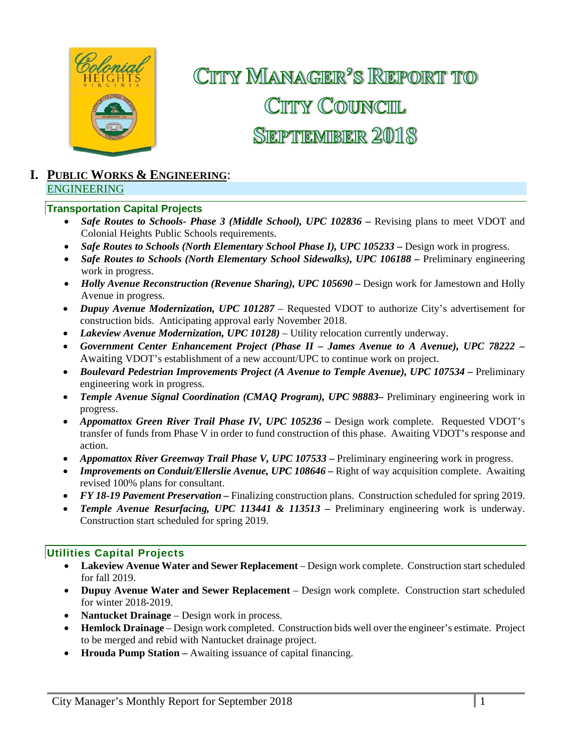

CITY MANAGER<sup>'</sup>S REPORT TO CITY COUNCIL **SEPTEMBER 2018** 

## **I. PUBLIC WORKS & ENGINEERING**: ENGINEERING

#### **Transportation Capital Projects**

- *Safe Routes to Schools- Phase 3 (Middle School), UPC 102836 Revising plans to meet VDOT and* Colonial Heights Public Schools requirements.
- Safe Routes to Schools (North Elementary School Phase I), UPC 105233 Design work in progress.
- *Safe Routes to Schools (North Elementary School Sidewalks), UPC 106188 –* Preliminary engineering work in progress.
- *Holly Avenue Reconstruction (Revenue Sharing), UPC 105690 Design work for Jamestown and Holly* Avenue in progress.
- *Dupuy Avenue Modernization, UPC 101287*  Requested VDOT to authorize City's advertisement for construction bids. Anticipating approval early November 2018.
- *Lakeview Avenue Modernization, UPC 10128)* Utility relocation currently underway.
- *Government Center Enhancement Project (Phase II James Avenue to A Avenue), UPC 78222 –* Awaiting VDOT's establishment of a new account/UPC to continue work on project.
- Boulevard Pedestrian Improvements Project (A Avenue to Temple Avenue), UPC 107534 Preliminary engineering work in progress.
- Temple Avenue Signal Coordination (CMAQ Program), UPC 98883- Preliminary engineering work in progress.
- *Appomattox Green River Trail Phase IV, UPC 105236 Design work complete. Requested VDOT's* transfer of funds from Phase V in order to fund construction of this phase. Awaiting VDOT's response and action.
- Appomattox River Greenway Trail Phase V, UPC 107533 Preliminary engineering work in progress.
- *Improvements on Conduit/Ellerslie Avenue, UPC 108646* Right of way acquisition complete. Awaiting revised 100% plans for consultant.
- *FY 18-19 Pavement Preservation* Finalizing construction plans. Construction scheduled for spring 2019.
- *Temple Avenue Resurfacing, UPC 113441 & 113513 –* Preliminary engineering work is underway. Construction start scheduled for spring 2019.

#### **Utilities Capital Projects**

- **Lakeview Avenue Water and Sewer Replacement**  Design work complete. Construction start scheduled for fall 2019.
- **Dupuy Avenue Water and Sewer Replacement** Design work complete. Construction start scheduled for winter 2018-2019.
- **Nantucket Drainage** Design work in process.
- **Hemlock Drainage**  Design work completed. Construction bids well over the engineer's estimate. Project to be merged and rebid with Nantucket drainage project.
- **Hrouda Pump Station –** Awaiting issuance of capital financing.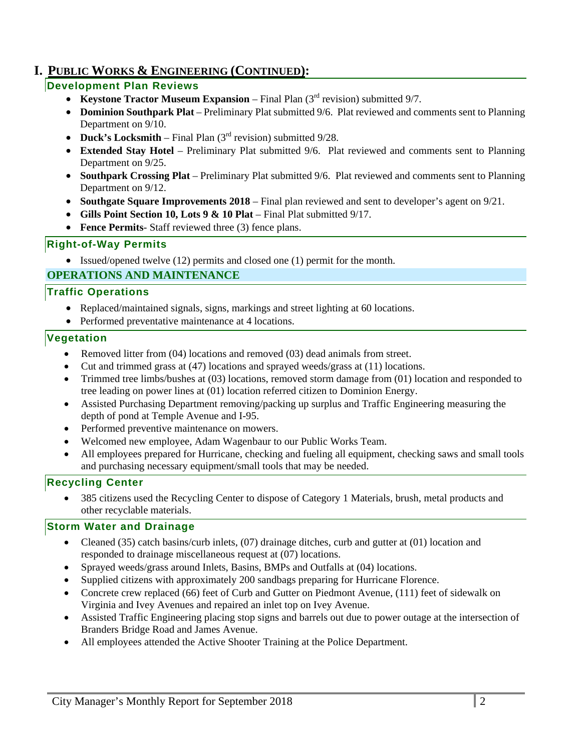## **I. PUBLIC WORKS & ENGINEERING (CONTINUED):**

## **Development Plan Reviews**

- **Keystone Tractor Museum Expansion** Final Plan (3<sup>rd</sup> revision) submitted 9/7.
- **Dominion Southpark Plat** Preliminary Plat submitted 9/6. Plat reviewed and comments sent to Planning Department on 9/10.
- **Duck's Locksmith** Final Plan (3<sup>rd</sup> revision) submitted 9/28.
- **Extended Stay Hotel** Preliminary Plat submitted 9/6. Plat reviewed and comments sent to Planning Department on 9/25.
- **Southpark Crossing Plat**  Preliminary Plat submitted 9/6. Plat reviewed and comments sent to Planning Department on 9/12.
- **Southgate Square Improvements 2018** Final plan reviewed and sent to developer's agent on 9/21.
- Gills Point Section 10, Lots 9 & 10 Plat Final Plat submitted 9/17.
- **Fence Permits** Staff reviewed three (3) fence plans.

## **Right-of-Way Permits**

Issued/opened twelve (12) permits and closed one (1) permit for the month.

## **OPERATIONS AND MAINTENANCE**

#### **Traffic Operations**

- Replaced/maintained signals, signs, markings and street lighting at 60 locations.
- Performed preventative maintenance at 4 locations.

#### **Vegetation**

- Removed litter from (04) locations and removed (03) dead animals from street.
- Cut and trimmed grass at (47) locations and sprayed weeds/grass at (11) locations.
- Trimmed tree limbs/bushes at (03) locations, removed storm damage from (01) location and responded to tree leading on power lines at (01) location referred citizen to Dominion Energy.
- Assisted Purchasing Department removing/packing up surplus and Traffic Engineering measuring the depth of pond at Temple Avenue and I-95.
- Performed preventive maintenance on mowers.
- Welcomed new employee, Adam Wagenbaur to our Public Works Team.
- All employees prepared for Hurricane, checking and fueling all equipment, checking saws and small tools and purchasing necessary equipment/small tools that may be needed.

## **Recycling Center**

 385 citizens used the Recycling Center to dispose of Category 1 Materials, brush, metal products and other recyclable materials.

## **Storm Water and Drainage**

- Cleaned (35) catch basins/curb inlets, (07) drainage ditches, curb and gutter at (01) location and responded to drainage miscellaneous request at (07) locations.
- Sprayed weeds/grass around Inlets, Basins, BMPs and Outfalls at (04) locations.
- Supplied citizens with approximately 200 sandbags preparing for Hurricane Florence.
- Concrete crew replaced (66) feet of Curb and Gutter on Piedmont Avenue, (111) feet of sidewalk on Virginia and Ivey Avenues and repaired an inlet top on Ivey Avenue.
- Assisted Traffic Engineering placing stop signs and barrels out due to power outage at the intersection of Branders Bridge Road and James Avenue.
- All employees attended the Active Shooter Training at the Police Department.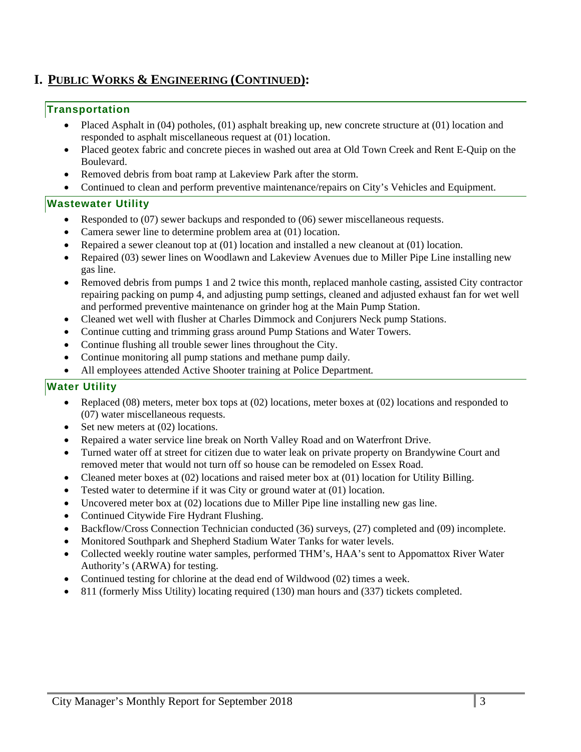## **I. PUBLIC WORKS & ENGINEERING (CONTINUED):**

#### **Transportation**

- Placed Asphalt in (04) potholes, (01) asphalt breaking up, new concrete structure at (01) location and responded to asphalt miscellaneous request at (01) location.
- Placed geotex fabric and concrete pieces in washed out area at Old Town Creek and Rent E-Quip on the Boulevard.
- Removed debris from boat ramp at Lakeview Park after the storm.
- Continued to clean and perform preventive maintenance/repairs on City's Vehicles and Equipment.

#### **Wastewater Utility**

- Responded to (07) sewer backups and responded to (06) sewer miscellaneous requests.
- Camera sewer line to determine problem area at (01) location.
- Repaired a sewer cleanout top at (01) location and installed a new cleanout at (01) location.
- Repaired (03) sewer lines on Woodlawn and Lakeview Avenues due to Miller Pipe Line installing new gas line.
- Removed debris from pumps 1 and 2 twice this month, replaced manhole casting, assisted City contractor repairing packing on pump 4, and adjusting pump settings, cleaned and adjusted exhaust fan for wet well and performed preventive maintenance on grinder hog at the Main Pump Station.
- Cleaned wet well with flusher at Charles Dimmock and Conjurers Neck pump Stations.
- Continue cutting and trimming grass around Pump Stations and Water Towers.
- Continue flushing all trouble sewer lines throughout the City.
- Continue monitoring all pump stations and methane pump daily*.*
- All employees attended Active Shooter training at Police Department*.*

## **Water Utility**

- Replaced (08) meters, meter box tops at (02) locations, meter boxes at (02) locations and responded to (07) water miscellaneous requests.
- Set new meters at  $(02)$  locations.
- Repaired a water service line break on North Valley Road and on Waterfront Drive.
- Turned water off at street for citizen due to water leak on private property on Brandywine Court and removed meter that would not turn off so house can be remodeled on Essex Road.
- Cleaned meter boxes at (02) locations and raised meter box at (01) location for Utility Billing.
- Tested water to determine if it was City or ground water at (01) location.
- Uncovered meter box at (02) locations due to Miller Pipe line installing new gas line.
- Continued Citywide Fire Hydrant Flushing.
- Backflow/Cross Connection Technician conducted (36) surveys, (27) completed and (09) incomplete.
- Monitored Southpark and Shepherd Stadium Water Tanks for water levels.
- Collected weekly routine water samples, performed THM's, HAA's sent to Appomattox River Water Authority's (ARWA) for testing.
- Continued testing for chlorine at the dead end of Wildwood (02) times a week.
- 811 (formerly Miss Utility) locating required (130) man hours and (337) tickets completed.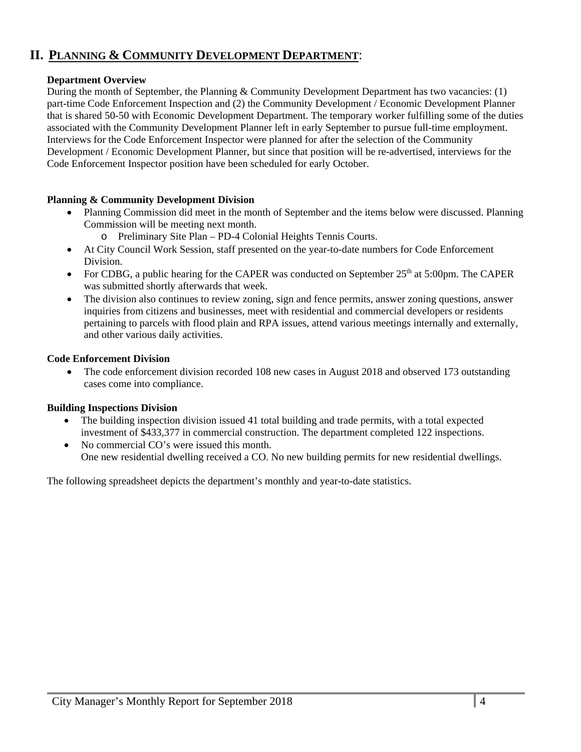## **II. PLANNING & COMMUNITY DEVELOPMENT DEPARTMENT**:

#### **Department Overview**

During the month of September, the Planning & Community Development Department has two vacancies: (1) part-time Code Enforcement Inspection and (2) the Community Development / Economic Development Planner that is shared 50-50 with Economic Development Department. The temporary worker fulfilling some of the duties associated with the Community Development Planner left in early September to pursue full-time employment. Interviews for the Code Enforcement Inspector were planned for after the selection of the Community Development / Economic Development Planner, but since that position will be re-advertised, interviews for the Code Enforcement Inspector position have been scheduled for early October.

#### **Planning & Community Development Division**

- Planning Commission did meet in the month of September and the items below were discussed. Planning Commission will be meeting next month.
	- o Preliminary Site Plan PD-4 Colonial Heights Tennis Courts.
- At City Council Work Session, staff presented on the year-to-date numbers for Code Enforcement Division.
- For CDBG, a public hearing for the CAPER was conducted on September  $25<sup>th</sup>$  at 5:00pm. The CAPER was submitted shortly afterwards that week.
- The division also continues to review zoning, sign and fence permits, answer zoning questions, answer inquiries from citizens and businesses, meet with residential and commercial developers or residents pertaining to parcels with flood plain and RPA issues, attend various meetings internally and externally, and other various daily activities.

#### **Code Enforcement Division**

 The code enforcement division recorded 108 new cases in August 2018 and observed 173 outstanding cases come into compliance.

## **Building Inspections Division**

- The building inspection division issued 41 total building and trade permits, with a total expected investment of \$433,377 in commercial construction. The department completed 122 inspections.
- No commercial CO's were issued this month. One new residential dwelling received a CO. No new building permits for new residential dwellings.

The following spreadsheet depicts the department's monthly and year-to-date statistics.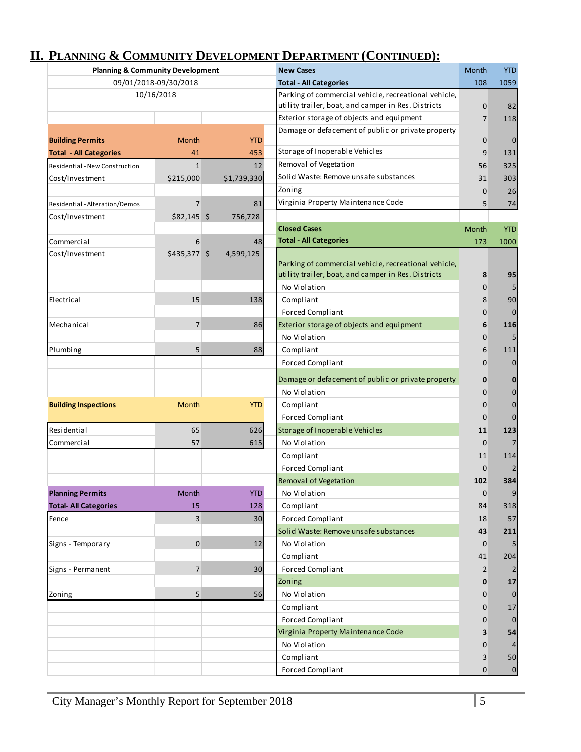| <b>Planning &amp; Community Development</b> |                       |             | <b>New Cases</b>                                     | Month          | <b>YTD</b>       |
|---------------------------------------------|-----------------------|-------------|------------------------------------------------------|----------------|------------------|
|                                             | 09/01/2018-09/30/2018 |             | <b>Total - All Categories</b>                        | 108            | 1059             |
|                                             | 10/16/2018            |             | Parking of commercial vehicle, recreational vehicle, |                |                  |
|                                             |                       |             | utility trailer, boat, and camper in Res. Districts  | $\mathbf 0$    | 82               |
|                                             |                       |             | Exterior storage of objects and equipment            | $\overline{7}$ | 118              |
| <b>Building Permits</b>                     | Month                 | <b>YTD</b>  | Damage or defacement of public or private property   | $\mathbf 0$    | $\mathbf 0$      |
| <b>Total - All Categories</b>               | 41                    | 453         | Storage of Inoperable Vehicles                       | 9              | 131              |
| Residential - New Construction              | $\mathbf{1}$          | 12          | Removal of Vegetation                                | 56             | 325              |
| Cost/Investment                             | \$215,000             | \$1,739,330 | Solid Waste: Remove unsafe substances                | 31             | 303              |
|                                             |                       |             | Zoning                                               | $\mathbf 0$    | 26               |
| Residential - Alteration/Demos              | 7                     | 81          | Virginia Property Maintenance Code                   | 5              | 74               |
| Cost/Investment                             | $$82,145$ \$          | 756,728     |                                                      |                |                  |
|                                             |                       |             | <b>Closed Cases</b>                                  | Month          | <b>YTD</b>       |
| Commercial                                  | 6                     | 48          | <b>Total - All Categories</b>                        | 173            | 1000             |
| Cost/Investment                             | \$435,377 \$          | 4,599,125   |                                                      |                |                  |
|                                             |                       |             | Parking of commercial vehicle, recreational vehicle, |                |                  |
|                                             |                       |             | utility trailer, boat, and camper in Res. Districts  | 8              | 95               |
|                                             |                       |             | No Violation                                         | $\mathbf{0}$   | 5                |
| Electrical                                  | 15                    | 138         | Compliant                                            | 8              | 90               |
|                                             |                       |             | <b>Forced Compliant</b>                              | $\mathbf 0$    | $\mathbf 0$      |
| Mechanical                                  | $\overline{7}$        | 86          | Exterior storage of objects and equipment            | 6              | 116              |
|                                             |                       |             | No Violation                                         | 0              | 5                |
| Plumbing                                    | 5                     | 88          | Compliant                                            | 6              | 111              |
|                                             |                       |             | <b>Forced Compliant</b>                              | $\mathbf{0}$   | $\mathbf 0$      |
|                                             |                       |             | Damage or defacement of public or private property   | 0              | 0                |
|                                             |                       |             | No Violation                                         | $\mathbf{0}$   | $\mathbf 0$      |
| <b>Building Inspections</b>                 | Month                 | <b>YTD</b>  | Compliant                                            | 0              | $\mathbf 0$      |
|                                             |                       |             | Forced Compliant                                     | $\mathbf 0$    | $\mathbf{0}$     |
| Residential                                 | 65                    | 626         | Storage of Inoperable Vehicles                       | 11             | 123              |
| Commercial                                  | 57                    | 615         | No Violation                                         | $\mathbf{0}$   | 7                |
|                                             |                       |             |                                                      |                |                  |
|                                             |                       |             | Compliant                                            | 11             | 114              |
|                                             |                       |             | Forced Compliant                                     | $\mathbf 0$    |                  |
|                                             |                       |             | Removal of Vegetation                                | 102            | 384              |
| <b>Planning Permits</b>                     | Month                 | <b>YTD</b>  | No Violation                                         | $\pmb{0}$      | $\overline{9}$   |
| <b>Total- All Categories</b>                | 15                    | 128         | Compliant                                            | 84             | 318              |
| Fence                                       | 3                     | 30          | <b>Forced Compliant</b>                              | 18             | 57               |
|                                             |                       |             | Solid Waste: Remove unsafe substances                | 43             | 211              |
| Signs - Temporary                           | $\pmb{0}$             | 12          | No Violation                                         | $\mathbf 0$    |                  |
|                                             |                       |             | Compliant                                            | 41             | 204              |
| Signs - Permanent                           | $\overline{7}$        | 30          | Forced Compliant                                     | $\overline{2}$ |                  |
|                                             |                       |             | Zoning                                               | 0              | 17               |
| Zoning                                      | 5                     | 56          | No Violation                                         | 0              | $\mathbf 0$      |
|                                             |                       |             | Compliant                                            | 0              | 17               |
|                                             |                       |             | <b>Forced Compliant</b>                              | 0              | $\mathbf 0$      |
|                                             |                       |             | Virginia Property Maintenance Code                   | 3              | 54               |
|                                             |                       |             | No Violation                                         | $\mathbf 0$    | 4                |
|                                             |                       |             | Compliant                                            | 3              | 50               |
|                                             |                       |             | <b>Forced Compliant</b>                              | 0              | $\boldsymbol{0}$ |

# **II. PLANNING & COMMUNITY DEVELOPMENT DEPARTMENT (CONTINUED):**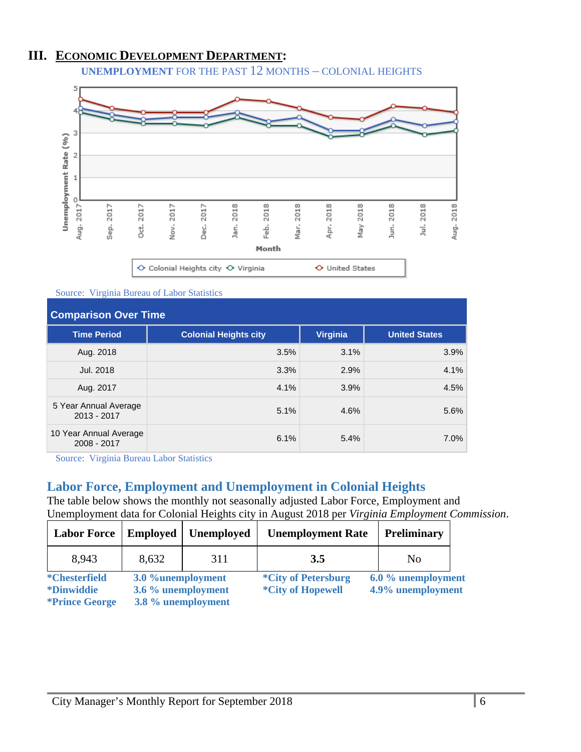## **III. ECONOMIC DEVELOPMENT DEPARTMENT:**

**UNEMPLOYMENT** FOR THE PAST 12 MONTHS – COLONIAL HEIGHTS



Source: Virginia Bureau of Labor Statistics

| <b>Comparison Over Time</b>           |                              |                 |                      |
|---------------------------------------|------------------------------|-----------------|----------------------|
| <b>Time Period</b>                    | <b>Colonial Heights city</b> | <b>Virginia</b> | <b>United States</b> |
| Aug. 2018                             | 3.5%                         | 3.1%            | 3.9%                 |
| Jul. 2018                             | 3.3%                         | 2.9%            | 4.1%                 |
| Aug. 2017                             | 4.1%                         | 3.9%            | 4.5%                 |
| 5 Year Annual Average<br>2013 - 2017  | 5.1%                         | 4.6%            | 5.6%                 |
| 10 Year Annual Average<br>2008 - 2017 | 6.1%                         | 5.4%            | 7.0%                 |

Source: Virginia Bureau Labor Statistics

## **Labor Force, Employment and Unemployment in Colonial Heights**

The table below shows the monthly not seasonally adjusted Labor Force, Employment and Unemployment data for Colonial Heights city in August 2018 per *Virginia Employment Commission*.

| <b>Labor Force</b>                         | <b>Employed</b>                         | <b>Unemployed</b> | <b>Unemployment Rate</b>                               | <b>Preliminary</b>                      |  |
|--------------------------------------------|-----------------------------------------|-------------------|--------------------------------------------------------|-----------------------------------------|--|
| 8,943                                      | 8,632                                   | 311               | 3.5                                                    | N <sub>0</sub>                          |  |
| <i>*</i> Chesterfield<br><i>*Dinwiddie</i> | 3.0 %unemployment<br>3.6 % unemployment |                   | <i>*City of Petersburg</i><br><i>*City of Hopewell</i> | 6.0 % unemployment<br>4.9% unemployment |  |
| <i><b>*Prince George</b></i>               | 3.8 % unemployment                      |                   |                                                        |                                         |  |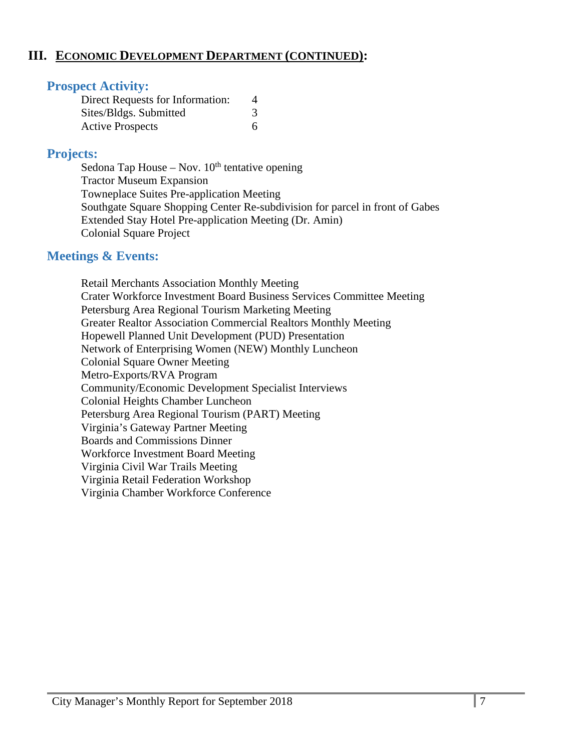## **III. ECONOMIC DEVELOPMENT DEPARTMENT (CONTINUED):**

## **Prospect Activity:**

| Direct Requests for Information: |  |
|----------------------------------|--|
| Sites/Bldgs. Submitted           |  |
| <b>Active Prospects</b>          |  |

## **Projects:**

Sedona Tap House – Nov.  $10<sup>th</sup>$  tentative opening Tractor Museum Expansion Towneplace Suites Pre-application Meeting Southgate Square Shopping Center Re-subdivision for parcel in front of Gabes Extended Stay Hotel Pre-application Meeting (Dr. Amin) Colonial Square Project

## **Meetings & Events:**

 Retail Merchants Association Monthly Meeting Crater Workforce Investment Board Business Services Committee Meeting Petersburg Area Regional Tourism Marketing Meeting Greater Realtor Association Commercial Realtors Monthly Meeting Hopewell Planned Unit Development (PUD) Presentation Network of Enterprising Women (NEW) Monthly Luncheon Colonial Square Owner Meeting Metro-Exports/RVA Program Community/Economic Development Specialist Interviews Colonial Heights Chamber Luncheon Petersburg Area Regional Tourism (PART) Meeting Virginia's Gateway Partner Meeting Boards and Commissions Dinner Workforce Investment Board Meeting Virginia Civil War Trails Meeting Virginia Retail Federation Workshop Virginia Chamber Workforce Conference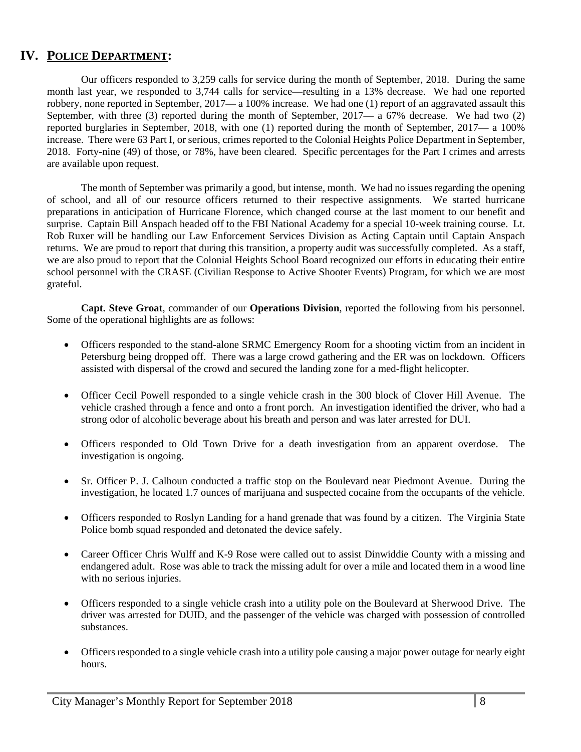## **IV. POLICE DEPARTMENT:**

 Our officers responded to 3,259 calls for service during the month of September, 2018. During the same month last year, we responded to 3,744 calls for service—resulting in a 13% decrease. We had one reported robbery, none reported in September, 2017— a 100% increase. We had one (1) report of an aggravated assault this September, with three (3) reported during the month of September,  $2017 - a\overline{67}$  decrease. We had two (2) reported burglaries in September, 2018, with one (1) reported during the month of September, 2017— a 100% increase. There were 63 Part I, or serious, crimes reported to the Colonial Heights Police Department in September, 2018. Forty-nine (49) of those, or 78%, have been cleared. Specific percentages for the Part I crimes and arrests are available upon request.

The month of September was primarily a good, but intense, month. We had no issues regarding the opening of school, and all of our resource officers returned to their respective assignments. We started hurricane preparations in anticipation of Hurricane Florence, which changed course at the last moment to our benefit and surprise. Captain Bill Anspach headed off to the FBI National Academy for a special 10-week training course. Lt. Rob Ruxer will be handling our Law Enforcement Services Division as Acting Captain until Captain Anspach returns. We are proud to report that during this transition, a property audit was successfully completed. As a staff, we are also proud to report that the Colonial Heights School Board recognized our efforts in educating their entire school personnel with the CRASE (Civilian Response to Active Shooter Events) Program, for which we are most grateful.

**Capt. Steve Groat**, commander of our **Operations Division**, reported the following from his personnel. Some of the operational highlights are as follows:

- Officers responded to the stand-alone SRMC Emergency Room for a shooting victim from an incident in Petersburg being dropped off. There was a large crowd gathering and the ER was on lockdown. Officers assisted with dispersal of the crowd and secured the landing zone for a med-flight helicopter.
- Officer Cecil Powell responded to a single vehicle crash in the 300 block of Clover Hill Avenue. The vehicle crashed through a fence and onto a front porch. An investigation identified the driver, who had a strong odor of alcoholic beverage about his breath and person and was later arrested for DUI.
- Officers responded to Old Town Drive for a death investigation from an apparent overdose. The investigation is ongoing.
- Sr. Officer P. J. Calhoun conducted a traffic stop on the Boulevard near Piedmont Avenue. During the investigation, he located 1.7 ounces of marijuana and suspected cocaine from the occupants of the vehicle.
- Officers responded to Roslyn Landing for a hand grenade that was found by a citizen. The Virginia State Police bomb squad responded and detonated the device safely.
- Career Officer Chris Wulff and K-9 Rose were called out to assist Dinwiddie County with a missing and endangered adult. Rose was able to track the missing adult for over a mile and located them in a wood line with no serious injuries.
- Officers responded to a single vehicle crash into a utility pole on the Boulevard at Sherwood Drive. The driver was arrested for DUID, and the passenger of the vehicle was charged with possession of controlled substances.
- Officers responded to a single vehicle crash into a utility pole causing a major power outage for nearly eight hours.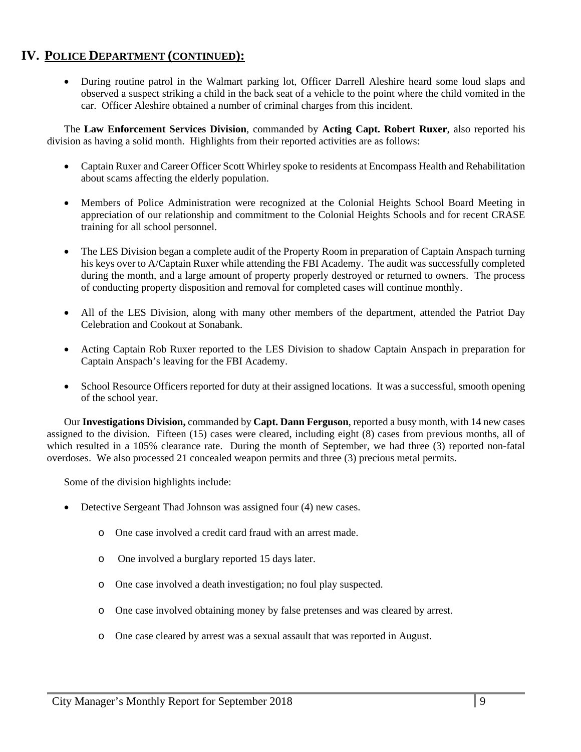## **IV. POLICE DEPARTMENT (CONTINUED):**

 During routine patrol in the Walmart parking lot, Officer Darrell Aleshire heard some loud slaps and observed a suspect striking a child in the back seat of a vehicle to the point where the child vomited in the car. Officer Aleshire obtained a number of criminal charges from this incident.

The **Law Enforcement Services Division**, commanded by **Acting Capt. Robert Ruxer**, also reported his division as having a solid month. Highlights from their reported activities are as follows:

- Captain Ruxer and Career Officer Scott Whirley spoke to residents at Encompass Health and Rehabilitation about scams affecting the elderly population.
- Members of Police Administration were recognized at the Colonial Heights School Board Meeting in appreciation of our relationship and commitment to the Colonial Heights Schools and for recent CRASE training for all school personnel.
- The LES Division began a complete audit of the Property Room in preparation of Captain Anspach turning his keys over to A/Captain Ruxer while attending the FBI Academy. The audit was successfully completed during the month, and a large amount of property properly destroyed or returned to owners. The process of conducting property disposition and removal for completed cases will continue monthly.
- All of the LES Division, along with many other members of the department, attended the Patriot Day Celebration and Cookout at Sonabank.
- Acting Captain Rob Ruxer reported to the LES Division to shadow Captain Anspach in preparation for Captain Anspach's leaving for the FBI Academy.
- School Resource Officers reported for duty at their assigned locations. It was a successful, smooth opening of the school year.

Our **Investigations Division,** commanded by **Capt. Dann Ferguson**, reported a busy month, with 14 new cases assigned to the division. Fifteen (15) cases were cleared, including eight (8) cases from previous months, all of which resulted in a 105% clearance rate. During the month of September, we had three (3) reported non-fatal overdoses. We also processed 21 concealed weapon permits and three (3) precious metal permits.

Some of the division highlights include:

- Detective Sergeant Thad Johnson was assigned four (4) new cases.
	- o One case involved a credit card fraud with an arrest made.
	- o One involved a burglary reported 15 days later.
	- o One case involved a death investigation; no foul play suspected.
	- o One case involved obtaining money by false pretenses and was cleared by arrest.
	- o One case cleared by arrest was a sexual assault that was reported in August.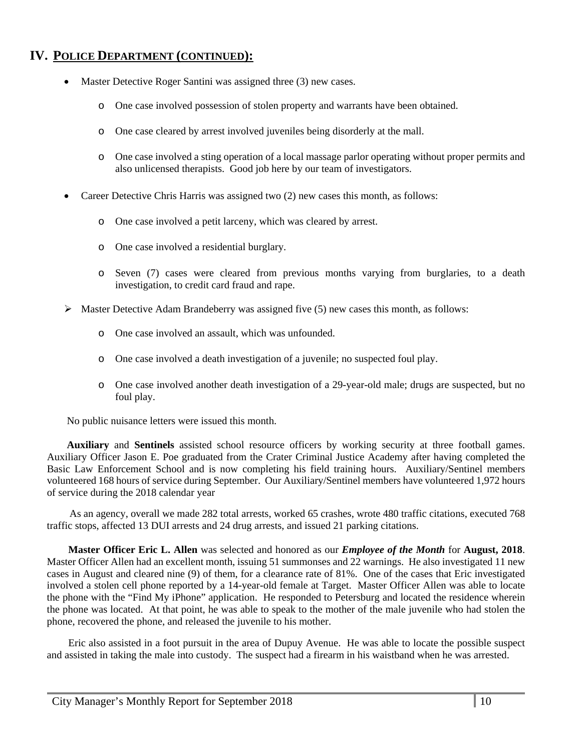## **IV. POLICE DEPARTMENT (CONTINUED):**

- Master Detective Roger Santini was assigned three (3) new cases.
	- o One case involved possession of stolen property and warrants have been obtained.
	- o One case cleared by arrest involved juveniles being disorderly at the mall.
	- o One case involved a sting operation of a local massage parlor operating without proper permits and also unlicensed therapists. Good job here by our team of investigators.
- Career Detective Chris Harris was assigned two (2) new cases this month, as follows:
	- o One case involved a petit larceny, which was cleared by arrest.
	- o One case involved a residential burglary.
	- o Seven (7) cases were cleared from previous months varying from burglaries, to a death investigation, to credit card fraud and rape.
- $\triangleright$  Master Detective Adam Brandeberry was assigned five (5) new cases this month, as follows:
	- o One case involved an assault, which was unfounded.
	- o One case involved a death investigation of a juvenile; no suspected foul play.
	- o One case involved another death investigation of a 29-year-old male; drugs are suspected, but no foul play.

No public nuisance letters were issued this month.

**Auxiliary** and **Sentinels** assisted school resource officers by working security at three football games. Auxiliary Officer Jason E. Poe graduated from the Crater Criminal Justice Academy after having completed the Basic Law Enforcement School and is now completing his field training hours. Auxiliary/Sentinel members volunteered 168 hours of service during September. Our Auxiliary/Sentinel members have volunteered 1,972 hours of service during the 2018 calendar year

 As an agency, overall we made 282 total arrests, worked 65 crashes, wrote 480 traffic citations, executed 768 traffic stops, affected 13 DUI arrests and 24 drug arrests, and issued 21 parking citations.

**Master Officer Eric L. Allen** was selected and honored as our *Employee of the Month* for **August, 2018**. Master Officer Allen had an excellent month, issuing 51 summonses and 22 warnings. He also investigated 11 new cases in August and cleared nine (9) of them, for a clearance rate of 81%. One of the cases that Eric investigated involved a stolen cell phone reported by a 14-year-old female at Target. Master Officer Allen was able to locate the phone with the "Find My iPhone" application. He responded to Petersburg and located the residence wherein the phone was located. At that point, he was able to speak to the mother of the male juvenile who had stolen the phone, recovered the phone, and released the juvenile to his mother.

Eric also assisted in a foot pursuit in the area of Dupuy Avenue. He was able to locate the possible suspect and assisted in taking the male into custody. The suspect had a firearm in his waistband when he was arrested.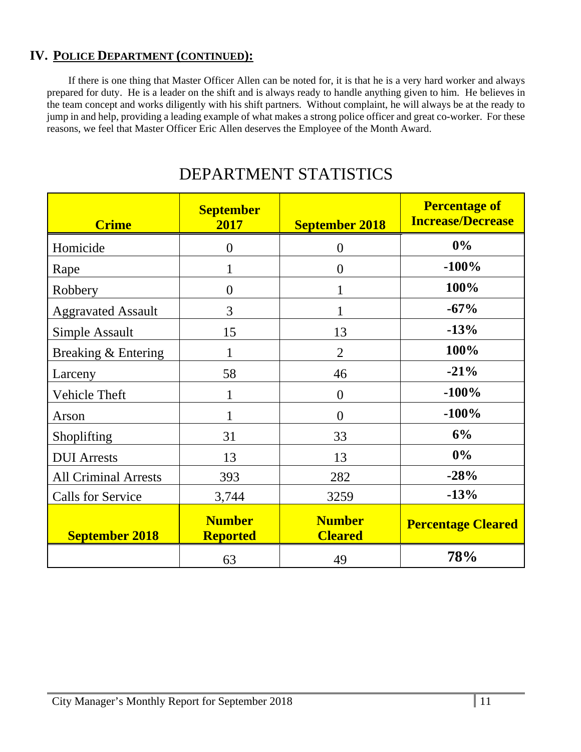## **IV. POLICE DEPARTMENT (CONTINUED):**

If there is one thing that Master Officer Allen can be noted for, it is that he is a very hard worker and always prepared for duty. He is a leader on the shift and is always ready to handle anything given to him. He believes in the team concept and works diligently with his shift partners. Without complaint, he will always be at the ready to jump in and help, providing a leading example of what makes a strong police officer and great co-worker. For these reasons, we feel that Master Officer Eric Allen deserves the Employee of the Month Award.

| <b>Crime</b>                | <b>September</b><br>2017         | <b>September 2018</b>           | <b>Percentage of</b><br><b>Increase/Decrease</b> |
|-----------------------------|----------------------------------|---------------------------------|--------------------------------------------------|
| Homicide                    | $\overline{0}$                   | $\theta$                        | 0%                                               |
| Rape                        | 1                                | $\theta$                        | $-100%$                                          |
| Robbery                     | $\overline{0}$                   |                                 | 100%                                             |
| <b>Aggravated Assault</b>   | 3                                | 1                               | $-67%$                                           |
| Simple Assault              | 15                               | 13                              | $-13%$                                           |
| Breaking & Entering         | 1                                | $\overline{2}$                  | 100%                                             |
| Larceny                     | 58                               | 46                              | $-21%$                                           |
| Vehicle Theft               | $\mathbf{1}$                     | $\overline{0}$                  | $-100%$                                          |
| Arson                       | 1                                | $\overline{0}$                  | $-100%$                                          |
| Shoplifting                 | 31                               | 33                              | 6%                                               |
| <b>DUI</b> Arrests          | 13                               | 13                              | 0%                                               |
| <b>All Criminal Arrests</b> | 393                              | 282                             | $-28%$                                           |
| <b>Calls for Service</b>    | 3,744                            | 3259                            | $-13%$                                           |
| <b>September 2018</b>       | <b>Number</b><br><b>Reported</b> | <b>Number</b><br><b>Cleared</b> | <b>Percentage Cleared</b>                        |
|                             | 63                               | 49                              | 78%                                              |

# DEPARTMENT STATISTICS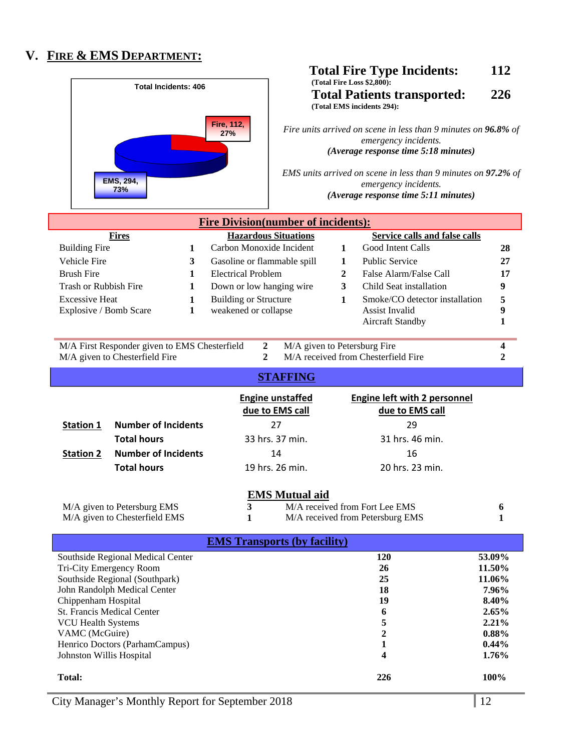## **V. FIRE & EMS DEPARTMENT:**



**Total:** 226 100% **100%**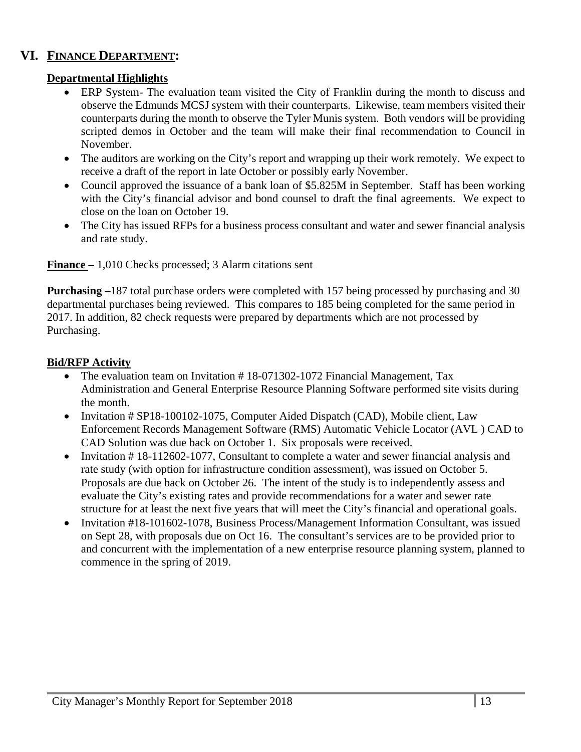## **VI. FINANCE DEPARTMENT:**

## **Departmental Highlights**

- ERP System- The evaluation team visited the City of Franklin during the month to discuss and observe the Edmunds MCSJ system with their counterparts. Likewise, team members visited their counterparts during the month to observe the Tyler Munis system. Both vendors will be providing scripted demos in October and the team will make their final recommendation to Council in November.
- The auditors are working on the City's report and wrapping up their work remotely. We expect to receive a draft of the report in late October or possibly early November.
- Council approved the issuance of a bank loan of \$5.825M in September. Staff has been working with the City's financial advisor and bond counsel to draft the final agreements. We expect to close on the loan on October 19.
- The City has issued RFPs for a business process consultant and water and sewer financial analysis and rate study.

**Finance –** 1,010 Checks processed; 3 Alarm citations sent

**Purchasing –**187 total purchase orders were completed with 157 being processed by purchasing and 30 departmental purchases being reviewed. This compares to 185 being completed for the same period in 2017. In addition, 82 check requests were prepared by departments which are not processed by Purchasing.

## **Bid/RFP Activity**

- The evaluation team on Invitation #18-071302-1072 Financial Management, Tax Administration and General Enterprise Resource Planning Software performed site visits during the month.
- Invitation # SP18-100102-1075, Computer Aided Dispatch (CAD), Mobile client, Law Enforcement Records Management Software (RMS) Automatic Vehicle Locator (AVL ) CAD to CAD Solution was due back on October 1. Six proposals were received.
- Invitation #18-112602-1077, Consultant to complete a water and sewer financial analysis and rate study (with option for infrastructure condition assessment), was issued on October 5. Proposals are due back on October 26. The intent of the study is to independently assess and evaluate the City's existing rates and provide recommendations for a water and sewer rate structure for at least the next five years that will meet the City's financial and operational goals.
- Invitation #18-101602-1078, Business Process/Management Information Consultant, was issued on Sept 28, with proposals due on Oct 16. The consultant's services are to be provided prior to and concurrent with the implementation of a new enterprise resource planning system, planned to commence in the spring of 2019.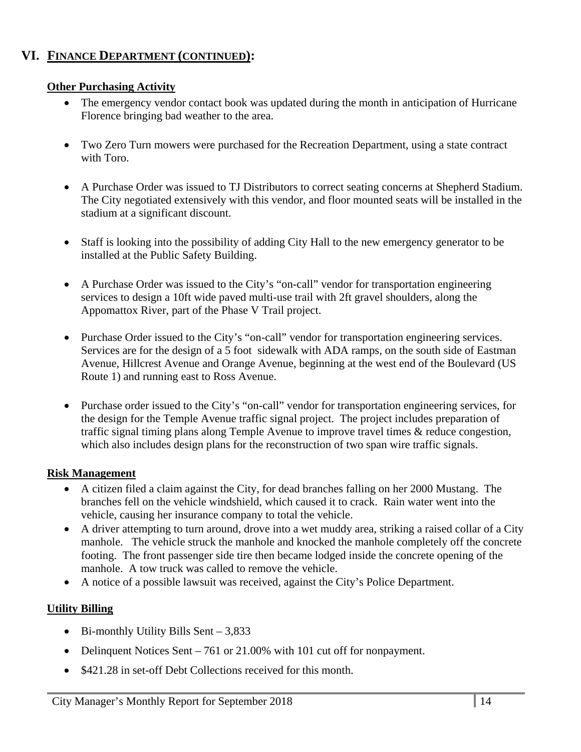## **VI. FINANCE DEPARTMENT (CONTINUED):**

## **Other Purchasing Activity**

- The emergency vendor contact book was updated during the month in anticipation of Hurricane Florence bringing bad weather to the area.
- Two Zero Turn mowers were purchased for the Recreation Department, using a state contract with Toro.
- A Purchase Order was issued to TJ Distributors to correct seating concerns at Shepherd Stadium. The City negotiated extensively with this vendor, and floor mounted seats will be installed in the stadium at a significant discount.
- Staff is looking into the possibility of adding City Hall to the new emergency generator to be installed at the Public Safety Building.
- A Purchase Order was issued to the City's "on-call" vendor for transportation engineering services to design a 10ft wide paved multi-use trail with 2ft gravel shoulders, along the Appomattox River, part of the Phase V Trail project.
- Purchase Order issued to the City's "on-call" vendor for transportation engineering services. Services are for the design of a 5 foot sidewalk with ADA ramps, on the south side of Eastman Avenue, Hillcrest Avenue and Orange Avenue, beginning at the west end of the Boulevard (US Route 1) and running east to Ross Avenue.
- Purchase order issued to the City's "on-call" vendor for transportation engineering services, for the design for the Temple Avenue traffic signal project. The project includes preparation of traffic signal timing plans along Temple Avenue to improve travel times & reduce congestion, which also includes design plans for the reconstruction of two span wire traffic signals.

## **Risk Management**

- A citizen filed a claim against the City, for dead branches falling on her 2000 Mustang. The branches fell on the vehicle windshield, which caused it to crack. Rain water went into the vehicle, causing her insurance company to total the vehicle.
- A driver attempting to turn around, drove into a wet muddy area, striking a raised collar of a City manhole. The vehicle struck the manhole and knocked the manhole completely off the concrete footing. The front passenger side tire then became lodged inside the concrete opening of the manhole. A tow truck was called to remove the vehicle.
- A notice of a possible lawsuit was received, against the City's Police Department.

## **Utility Billing**

- $\bullet$  Bi-monthly Utility Bills Sent 3,833
- Delinquent Notices Sent 761 or 21.00% with 101 cut off for nonpayment.
- \$421.28 in set-off Debt Collections received for this month.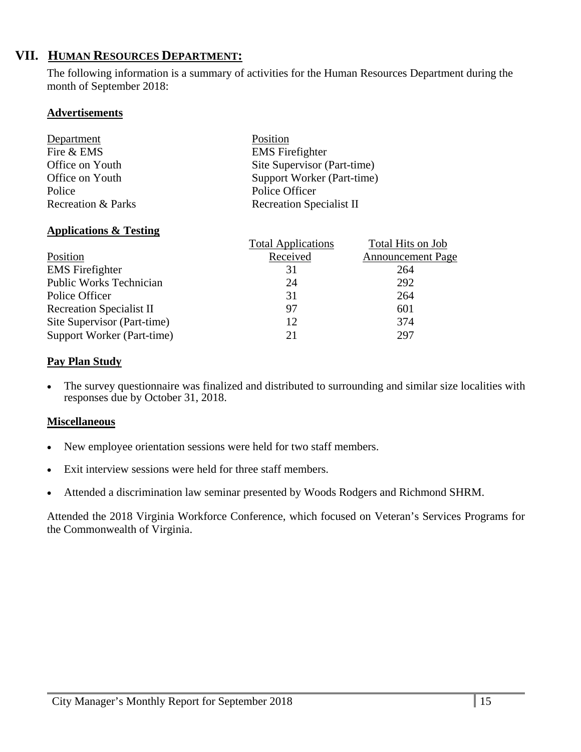## **VII. HUMAN RESOURCES DEPARTMENT:**

The following information is a summary of activities for the Human Resources Department during the month of September 2018:

## **Advertisements**

| Department                    | Position                        |
|-------------------------------|---------------------------------|
| Fire & EMS                    | <b>EMS</b> Firefighter          |
| Office on Youth               | Site Supervisor (Part-time)     |
| Office on Youth               | Support Worker (Part-time)      |
| Police                        | Police Officer                  |
| <b>Recreation &amp; Parks</b> | <b>Recreation Specialist II</b> |

## **Applications & Testing**

|                                 | <b>Total Applications</b> | Total Hits on Job        |
|---------------------------------|---------------------------|--------------------------|
| Position                        | Received                  | <b>Announcement Page</b> |
| <b>EMS</b> Firefighter          | 31                        | 264                      |
| <b>Public Works Technician</b>  | 24                        | 292                      |
| Police Officer                  | 31                        | 264                      |
| <b>Recreation Specialist II</b> | 97                        | 601                      |
| Site Supervisor (Part-time)     | 12                        | 374                      |
| Support Worker (Part-time)      | 21                        | 297                      |

## **Pay Plan Study**

 The survey questionnaire was finalized and distributed to surrounding and similar size localities with responses due by October 31, 2018.

## **Miscellaneous**

- New employee orientation sessions were held for two staff members.
- Exit interview sessions were held for three staff members.
- Attended a discrimination law seminar presented by Woods Rodgers and Richmond SHRM.

Attended the 2018 Virginia Workforce Conference, which focused on Veteran's Services Programs for the Commonwealth of Virginia.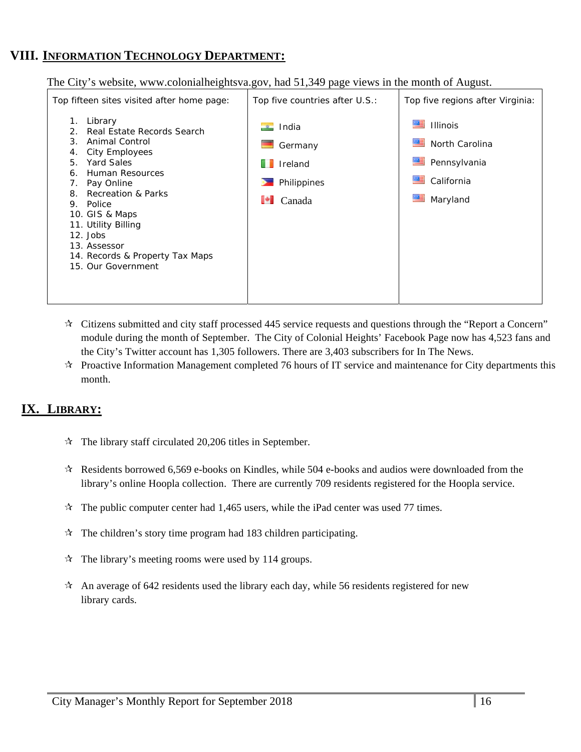# **VIII. INFORMATION TECHNOLOGY DEPARTMENT:**

The City's website, www.colonialheightsva.gov, had 51,349 page views in the month of August.



- $\star$  Citizens submitted and city staff processed 445 service requests and questions through the "Report a Concern" module during the month of September. The City of Colonial Heights' Facebook Page now has 4,523 fans and the City's Twitter account has 1,305 followers. There are 3,403 subscribers for In The News.
- $\star$  Proactive Information Management completed 76 hours of IT service and maintenance for City departments this month.

## **IX. LIBRARY:**

- $\approx$  The library staff circulated 20,206 titles in September.
- $\star$  Residents borrowed 6,569 e-books on Kindles, while 504 e-books and audios were downloaded from the library's online Hoopla collection. There are currently 709 residents registered for the Hoopla service.
- $\mathbf{\hat{x}}$  The public computer center had 1,465 users, while the iPad center was used 77 times.
- $\hat{x}$  The children's story time program had 183 children participating.
- $\mathcal{R}$  The library's meeting rooms were used by 114 groups.
- $\lambda$  An average of 642 residents used the library each day, while 56 residents registered for new library cards.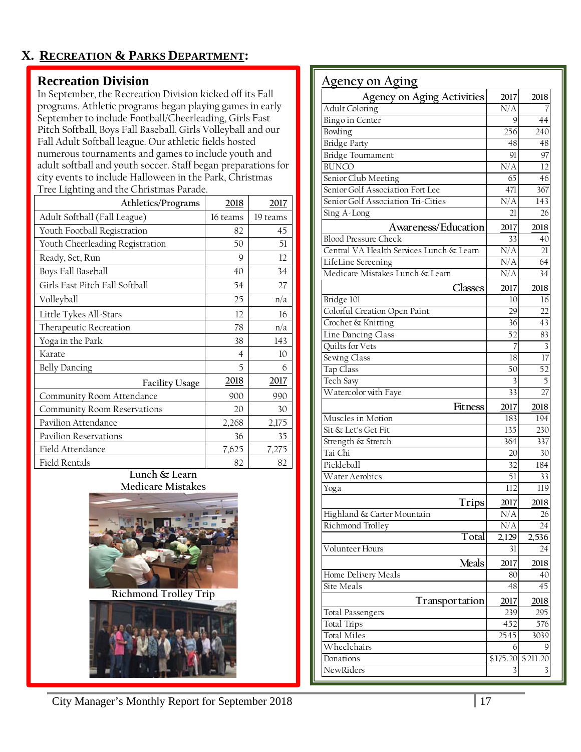# **X. RECREATION & PARKS DEPARTMENT:**

## **Recreation Division**

In September, the Recreation Division kicked off its Fall programs. Athletic programs began playing games in early September to include Football/Cheerleading, Girls Fast Pitch Softball, Boys Fall Baseball, Girls Volleyball and our Fall Adult Softball league. Our athletic fields hosted numerous tournaments and games to include youth and adult softball and youth soccer. Staff began preparations for city events to include Halloween in the Park, Christmas Tree Lighting and the Christmas Parade.

| Athletics/Programs              | 2018           | 2017     |
|---------------------------------|----------------|----------|
| Adult Softball (Fall League)    | 16 teams       | 19 teams |
| Youth Football Registration     | 82             | 45       |
| Youth Cheerleading Registration | 50             | 51       |
| Ready, Set, Run                 | 9              | 12       |
| Boys Fall Baseball              | 40             | 34       |
| Girls Fast Pitch Fall Softball  | 54             | 27       |
| Volleyball                      | 25             | n/a      |
| Little Tykes All-Stars          | 12             | 16       |
| Therapeutic Recreation          | 78             | n/a      |
| Yoga in the Park                | 38             | 143      |
| Karate                          | $\overline{4}$ | 10       |
| <b>Belly Dancing</b>            | 5              | 6        |
| <b>Facility Usage</b>           | 2018           | 2017     |
| Community Room Attendance       | 900            | 990      |
| Community Room Reservations     | 20             | 30       |
| Pavilion Attendance             | 2,268          | 2,175    |
| Pavilion Reservations           | 36             | 35       |
| Field Attendance                | 7,625          | 7,275    |
| Field Rentals                   | 82             | 82       |

#### **Lunch & Learn Medicare Mistakes**



**Richmond Trolley Trip** 



| <u> Agency on Aging</u>                  |                 |                  |
|------------------------------------------|-----------------|------------------|
| <b>Agency on Aging Activities</b>        | 2017            | 2018             |
| Adult Coloring                           | N/A             |                  |
| Bingo in Center                          | 9               | 44               |
| Bowling                                  | 256             | 240              |
| <b>Bridge Party</b>                      | 48              | 48               |
| <b>Bridge Tournament</b>                 | 91              | 97               |
| <b>BUNCO</b>                             | N/A             | 12               |
| Senior Club Meeting                      | 65              | 46               |
| Senior Golf Association Fort Lee         | 471             | 367              |
| Senior Golf Association Tri-Cities       | N/A             | 143              |
| Sing A-Long                              | 21              | 26               |
| Awareness/Education                      | 2017            | 2018             |
| <b>Blood Pressure Check</b>              | 33              | 40               |
| Central VA Health Services Lunch & Learn | N/A             | 21               |
| LifeLine Screening                       | N/A             | 64               |
| Medicare Mistakes Lunch & Learn          | N/A             | 34               |
| Classes                                  |                 |                  |
| Bridge 101                               | 2017<br>10      | 2018<br>16       |
| Colorful Creation Open Paint             | 29              | 22               |
| Crochet & Knitting                       | 36              | 43               |
| Line Dancing Class                       | 52              | 83               |
| Quilts for Vets                          | 7               | 3                |
| Sewing Class                             | 18              | 17               |
| Tap Class                                | 50              | $\overline{52}$  |
| Tech Savy                                | 3               | 5                |
| Watercolor with Faye                     | $\overline{33}$ | 27               |
|                                          |                 |                  |
| Fitness                                  | 2017            | 2018             |
| Muscles in Motion                        | 183             | 194              |
| Sit & Let's Get Fit                      | 135             | 230              |
| Strength & Stretch<br>Tai Chi            | 364             | 337              |
| Pickleball                               | 20              | 30               |
| Water Aerobics                           | 32              | 184              |
|                                          | 51              | 33               |
| Yoga                                     | 112             | $\overline{119}$ |
| <b>Trips</b>                             | 2017            | 2018             |
| Highland & Carter Mountain               | $\rm N/A$       | 26               |
| Richmond Trolley                         | N/A             | 24               |
| Total                                    | 2,129           | 2,536            |
| Volunteer Hours                          | 31              | 24               |
| Meals                                    | 2017            | 2018             |
| Home Delivery Meals                      | 80              | 40               |
| Site Meals                               | 48              | 45               |
| Transportation                           | 2017            | 2018             |
| <b>Total Passengers</b>                  | 239             | 295              |
| Total Trips                              | 452             | 576              |
| Total Miles                              | 2545            | 3039             |
| Wheelchairs                              | 6               | 9                |
| Donations                                | \$175.20        | \$211.20         |
| NewRiders                                | 3               | 3                |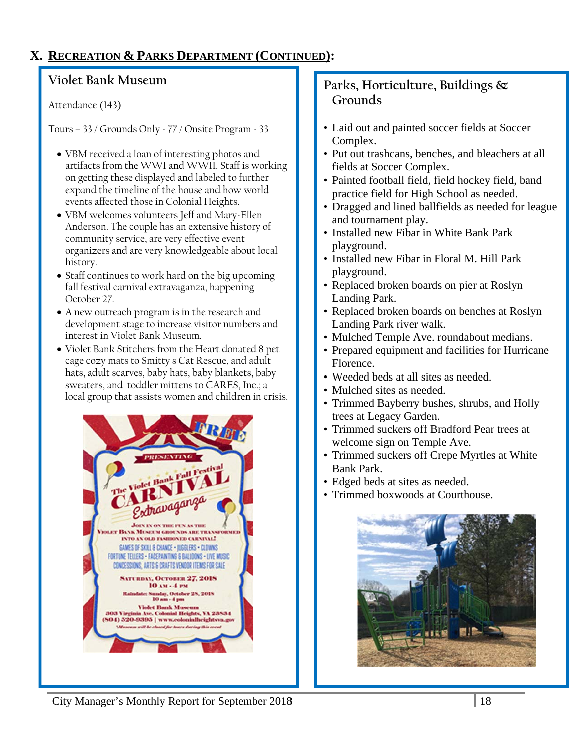## **X. RECREATION & PARKS DEPARTMENT (CONTINUED):**

# **Violet Bank Museum**

Attendance (143)

Tours – 33 / Grounds Only - 77 / Onsite Program - 33

- VBM received a loan of interesting photos and artifacts from the WWI and WWII. Staff is working on getting these displayed and labeled to further expand the timeline of the house and how world events affected those in Colonial Heights.
- VBM welcomes volunteers Jeff and Mary-Ellen Anderson. The couple has an extensive history of community service, are very effective event organizers and are very knowledgeable about local history.
- Staff continues to work hard on the big upcoming fall festival carnival extravaganza, happening October 27.
- A new outreach program is in the research and development stage to increase visitor numbers and interest in Violet Bank Museum.
- Violet Bank Stitchers from the Heart donated 8 pet cage cozy mats to Smitty's Cat Rescue, and adult hats, adult scarves, baby hats, baby blankets, baby sweaters, and toddler mittens to CARES, Inc.; a local group that assists women and children in crisis.



# **Parks, Horticulture, Buildings & Grounds**

- Laid out and painted soccer fields at Soccer Complex.
- Put out trashcans, benches, and bleachers at all fields at Soccer Complex.
- Painted football field, field hockey field, band practice field for High School as needed.
- Dragged and lined ballfields as needed for league and tournament play.
- Installed new Fibar in White Bank Park playground.
- Installed new Fibar in Floral M. Hill Park playground.
- Replaced broken boards on pier at Roslyn Landing Park.
- Replaced broken boards on benches at Roslyn Landing Park river walk.
- Mulched Temple Ave. roundabout medians.
- Prepared equipment and facilities for Hurricane Florence.
- Weeded beds at all sites as needed.
- Mulched sites as needed.
- Trimmed Bayberry bushes, shrubs, and Holly trees at Legacy Garden.
- Trimmed suckers off Bradford Pear trees at welcome sign on Temple Ave.
- Trimmed suckers off Crepe Myrtles at White Bank Park.
- Edged beds at sites as needed.
- Trimmed boxwoods at Courthouse.



City Manager's Monthly Report for September 2018 18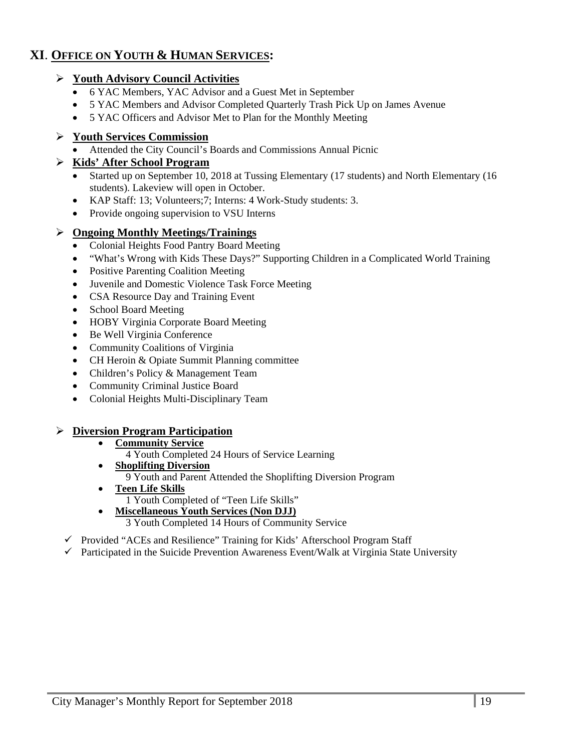## **XI**. **OFFICE ON YOUTH & HUMAN SERVICES:**

## **Youth Advisory Council Activities**

- 6 YAC Members, YAC Advisor and a Guest Met in September
- 5 YAC Members and Advisor Completed Quarterly Trash Pick Up on James Avenue
- 5 YAC Officers and Advisor Met to Plan for the Monthly Meeting

## **Youth Services Commission**

Attended the City Council's Boards and Commissions Annual Picnic

## **Kids' After School Program**

- Started up on September 10, 2018 at Tussing Elementary (17 students) and North Elementary (16 students). Lakeview will open in October.
- KAP Staff: 13; Volunteers;7; Interns: 4 Work-Study students: 3.
- Provide ongoing supervision to VSU Interns

## **Ongoing Monthly Meetings/Trainings**

- Colonial Heights Food Pantry Board Meeting
- "What's Wrong with Kids These Days?" Supporting Children in a Complicated World Training
- Positive Parenting Coalition Meeting
- Juvenile and Domestic Violence Task Force Meeting
- CSA Resource Day and Training Event
- School Board Meeting
- HOBY Virginia Corporate Board Meeting
- Be Well Virginia Conference
- Community Coalitions of Virginia
- CH Heroin & Opiate Summit Planning committee
- Children's Policy & Management Team
- Community Criminal Justice Board
- Colonial Heights Multi-Disciplinary Team

## **Diversion Program Participation**

- **Community Service** 
	- 4 Youth Completed 24 Hours of Service Learning
- **Shoplifting Diversion** 
	- 9 Youth and Parent Attended the Shoplifting Diversion Program
- **Teen Life Skills**
- 1 Youth Completed of "Teen Life Skills"
- **Miscellaneous Youth Services (Non DJJ)** 
	- 3 Youth Completed 14 Hours of Community Service
- $\checkmark$  Provided "ACEs and Resilience" Training for Kids' Afterschool Program Staff
- $\checkmark$  Participated in the Suicide Prevention Awareness Event/Walk at Virginia State University